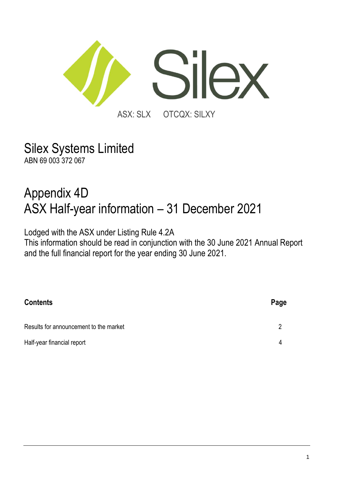

Silex Systems Limited ABN 69 003 372 067

# Appendix 4D ASX Half-year information – 31 December 2021

Lodged with the ASX under Listing Rule 4.2A

This information should be read in conjunction with the 30 June 2021 Annual Report and the full financial report for the year ending 30 June 2021.

| <b>Contents</b>                        | Page |
|----------------------------------------|------|
| Results for announcement to the market | 2    |
| Half-year financial report             | 4    |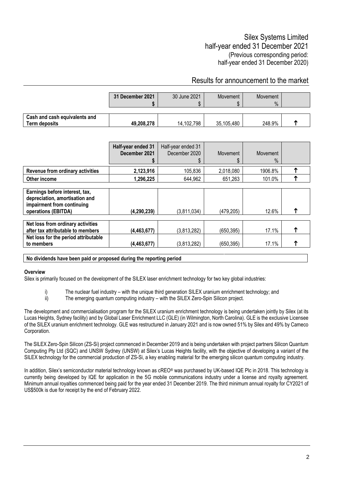### Results for announcement to the market

|                                                | 31 December 2021 | 30 June 2021 | Movement   | Movement<br>$\%$ |  |
|------------------------------------------------|------------------|--------------|------------|------------------|--|
| Cash and cash equivalents and<br>Term deposits | 49,208,278       | 14,102,798   | 35,105,480 | 248.9%           |  |

|                                                                                                                       | Half-year ended 31<br>December 2021 | Half-year ended 31<br>December 2020<br>æ. | Movement<br>\$ | Movement<br>$\frac{0}{0}$ |  |
|-----------------------------------------------------------------------------------------------------------------------|-------------------------------------|-------------------------------------------|----------------|---------------------------|--|
| Revenue from ordinary activities                                                                                      | 2,123,916                           | 105,836                                   | 2,018,080      | 1906.8%                   |  |
| Other income                                                                                                          | 1,296,225                           | 644,962                                   | 651,263        | 101.0%                    |  |
| Earnings before interest, tax,<br>depreciation, amortisation and<br>impairment from continuing<br>operations (EBITDA) | (4,290,239)                         | (3,811,034)                               | (479.205)      | 12.6%                     |  |
| Net loss from ordinary activities<br>after tax attributable to members                                                | (4,463,677)                         | (3,813,282)                               | (650, 395)     | 17.1%                     |  |
| Net loss for the period attributable<br>to members                                                                    | (4,463,677)                         | (3,813,282)                               | (650, 395)     | 17.1%                     |  |

**No dividends have been paid or proposed during the reporting period**

#### **Overview**

Silex is primarily focused on the development of the SILEX laser enrichment technology for two key global industries:

- i) The nuclear fuel industry with the unique third generation SILEX uranium enrichment technology; and
- ii) The emerging quantum computing industry with the SILEX Zero-Spin Silicon project.

The development and commercialisation program for the SILEX uranium enrichment technology is being undertaken jointly by Silex (at its Lucas Heights, Sydney facility) and by Global Laser Enrichment LLC (GLE) (in Wilmington, North Carolina). GLE is the exclusive Licensee of the SILEX uranium enrichment technology. GLE was restructured in January 2021 and is now owned 51% by Silex and 49% by Cameco Corporation.

The SILEX Zero-Spin Silicon (ZS-Si) project commenced in December 2019 and is being undertaken with project partners Silicon Quantum Computing Pty Ltd (SQC) and UNSW Sydney (UNSW) at Silex's Lucas Heights facility, with the objective of developing a variant of the SILEX technology for the commercial production of ZS-Si, a key enabling material for the emerging silicon quantum computing industry.

In addition, Silex's semiconductor material technology known as cREO<sup>®</sup> was purchased by UK-based IQE Plc in 2018. This technology is currently being developed by IQE for application in the 5G mobile communications industry under a license and royalty agreement. Minimum annual royalties commenced being paid for the year ended 31 December 2019. The third minimum annual royalty for CY2021 of US\$500k is due for receipt by the end of February 2022.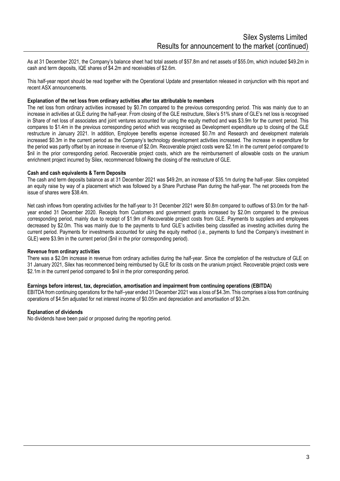As at 31 December 2021, the Company's balance sheet had total assets of \$57.8m and net assets of \$55.0m, which included \$49.2m in cash and term deposits, IQE shares of \$4.2m and receivables of \$2.6m.

This half-year report should be read together with the Operational Update and presentation released in conjunction with this report and recent ASX announcements.

#### **Explanation of the net loss from ordinary activities after tax attributable to members**

The net loss from ordinary activities increased by \$0.7m compared to the previous corresponding period. This was mainly due to an increase in activities at GLE during the half-year. From closing of the GLE restructure, Silex's 51% share of GLE's net loss is recognised in Share of net loss of associates and joint ventures accounted for using the equity method and was \$3.9m for the current period. This compares to \$1.4m in the previous corresponding period which was recognised as Development expenditure up to closing of the GLE restructure in January 2021. In addition, Employee benefits expense increased \$0.7m and Research and development materials increased \$0.3m in the current period as the Company's technology development activities increased. The increase in expenditure for the period was partly offset by an increase in revenue of \$2.0m. Recoverable project costs were \$2.1m in the current period compared to \$nil in the prior corresponding period. Recoverable project costs, which are the reimbursement of allowable costs on the uranium enrichment project incurred by Silex, recommenced following the closing of the restructure of GLE.

#### **Cash and cash equivalents & Term Deposits**

The cash and term deposits balance as at 31 December 2021 was \$49.2m, an increase of \$35.1m during the half-year. Silex completed an equity raise by way of a placement which was followed by a Share Purchase Plan during the half-year. The net proceeds from the issue of shares were \$38.4m.

Net cash inflows from operating activities for the half-year to 31 December 2021 were \$0.8m compared to outflows of \$3.0m for the halfyear ended 31 December 2020. Receipts from Customers and government grants increased by \$2.0m compared to the previous corresponding period, mainly due to receipt of \$1.9m of Recoverable project costs from GLE. Payments to suppliers and employees decreased by \$2.0m. This was mainly due to the payments to fund GLE's activities being classified as investing activities during the current period. Payments for investments accounted for using the equity method (i.e., payments to fund the Company's investment in GLE) were \$3.9m in the current period (\$nil in the prior corresponding period).

#### **Revenue from ordinary activities**

There was a \$2.0m increase in revenue from ordinary activities during the half-year. Since the completion of the restructure of GLE on 31 January 2021, Silex has recommenced being reimbursed by GLE for its costs on the uranium project. Recoverable project costs were \$2.1m in the current period compared to \$nil in the prior corresponding period.

#### **Earnings before interest, tax, depreciation, amortisation and impairment from continuing operations (EBITDA)**

EBITDA from continuing operations for the half–year ended 31 December 2021 was a loss of \$4.3m. This comprises a loss from continuing operations of \$4.5m adjusted for net interest income of \$0.05m and depreciation and amortisation of \$0.2m.

#### **Explanation of dividends**

No dividends have been paid or proposed during the reporting period.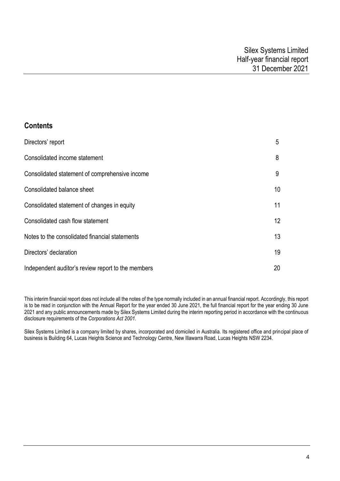# **Contents**

| Directors' report                                  | 5               |
|----------------------------------------------------|-----------------|
| Consolidated income statement                      | 8               |
| Consolidated statement of comprehensive income     | 9               |
| Consolidated balance sheet                         | 10              |
| Consolidated statement of changes in equity        | 11              |
| Consolidated cash flow statement                   | 12 <sup>°</sup> |
| Notes to the consolidated financial statements     | 13              |
| Directors' declaration                             | 19              |
| Independent auditor's review report to the members | 20              |

This interim financial report does not include all the notes of the type normally included in an annual financial report. Accordingly, this report is to be read in conjunction with the Annual Report for the year ended 30 June 2021, the full financial report for the year ending 30 June 2021 and any public announcements made by Silex Systems Limited during the interim reporting period in accordance with the continuous disclosure requirements of the *Corporations Act 2001*.

Silex Systems Limited is a company limited by shares, incorporated and domiciled in Australia. Its registered office and principal place of business is Building 64, Lucas Heights Science and Technology Centre, New Illawarra Road, Lucas Heights NSW 2234.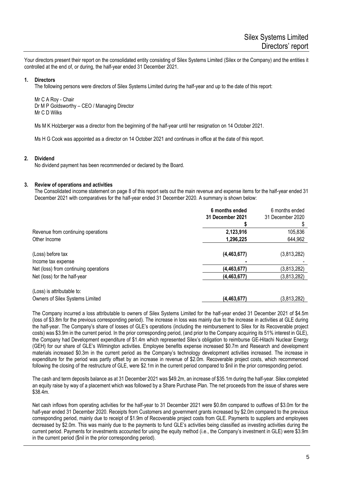Your directors present their report on the consolidated entity consisting of Silex Systems Limited (Silex or the Company) and the entities it controlled at the end of, or during, the half-year ended 31 December 2021.

#### **1. Directors**

The following persons were directors of Silex Systems Limited during the half-year and up to the date of this report:

Mr C A Roy - Chair Dr M P Goldsworthy – CEO / Managing Director Mr C D Wilks

Ms M K Holzberger was a director from the beginning of the half-year until her resignation on 14 October 2021.

Ms H G Cook was appointed as a director on 14 October 2021 and continues in office at the date of this report.

#### **2. Dividend**

No dividend payment has been recommended or declared by the Board.

#### **3. Review of operations and activities**

The Consolidated income statement on page 8 of this report sets out the main revenue and expense items for the half-year ended 31 December 2021 with comparatives for the half-year ended 31 December 2020. A summary is shown below:

|                                                               | 6 months ended<br>31 December 2021 | 6 months ended<br>31 December 2020 |
|---------------------------------------------------------------|------------------------------------|------------------------------------|
|                                                               |                                    |                                    |
| Revenue from continuing operations                            | 2,123,916                          | 105,836                            |
| Other Income                                                  | 1,296,225                          | 644,962                            |
| (Loss) before tax<br>Income tax expense                       | (4,463,677)                        | (3,813,282)                        |
| Net (loss) from continuing operations                         | (4, 463, 677)                      | (3,813,282)                        |
| Net (loss) for the half-year                                  | (4, 463, 677)                      | (3,813,282)                        |
| (Loss) is attributable to:<br>Owners of Silex Systems Limited | (4, 463, 677)                      | (3,813,282)                        |

The Company incurred a loss attributable to owners of Silex Systems Limited for the half-year ended 31 December 2021 of \$4.5m (loss of \$3.8m for the previous corresponding period). The increase in loss was mainly due to the increase in activities at GLE during the half-year. The Company's share of losses of GLE's operations (including the reimbursement to Silex for its Recoverable project costs) was \$3.9m in the current period. In the prior corresponding period, (and prior to the Company acquiring its 51% interest in GLE), the Company had Development expenditure of \$1.4m which represented Silex's obligation to reimburse GE-Hitachi Nuclear Energy (GEH) for our share of GLE's Wilmington activities. Employee benefits expense increased \$0.7m and Research and development materials increased \$0.3m in the current period as the Company's technology development activities increased. The increase in expenditure for the period was partly offset by an increase in revenue of \$2.0m. Recoverable project costs, which recommenced following the closing of the restructure of GLE, were \$2.1m in the current period compared to \$nil in the prior corresponding period.

The cash and term deposits balance as at 31 December 2021 was \$49.2m, an increase of \$35.1m during the half-year. Silex completed an equity raise by way of a placement which was followed by a Share Purchase Plan. The net proceeds from the issue of shares were \$38.4m.

Net cash inflows from operating activities for the half-year to 31 December 2021 were \$0.8m compared to outflows of \$3.0m for the half-year ended 31 December 2020. Receipts from Customers and government grants increased by \$2.0m compared to the previous corresponding period, mainly due to receipt of \$1.9m of Recoverable project costs from GLE. Payments to suppliers and employees decreased by \$2.0m. This was mainly due to the payments to fund GLE's activities being classified as investing activities during the current period. Payments for investments accounted for using the equity method (i.e., the Company's investment in GLE) were \$3.9m in the current period (\$nil in the prior corresponding period).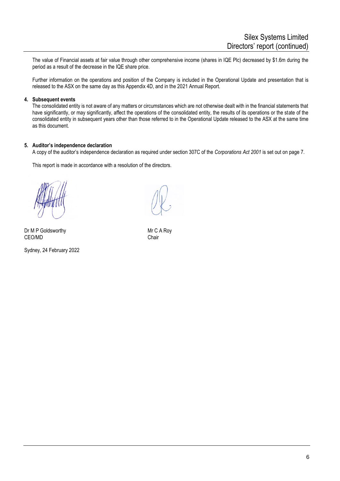The value of Financial assets at fair value through other comprehensive income (shares in IQE Plc) decreased by \$1.6m during the period as a result of the decrease in the IQE share price.

Further information on the operations and position of the Company is included in the Operational Update and presentation that is released to the ASX on the same day as this Appendix 4D, and in the 2021 Annual Report.

#### **4. Subsequent events**

The consolidated entity is not aware of any matters or circumstances which are not otherwise dealt with in the financial statements that have significantly, or may significantly, affect the operations of the consolidated entity, the results of its operations or the state of the consolidated entity in subsequent years other than those referred to in the Operational Update released to the ASX at the same time as this document.

#### **5. Auditor's independence declaration**

A copy of the auditor's independence declaration as required under section 307C of the *Corporations Act 2001* is set out on page 7.

This report is made in accordance with a resolution of the directors.

Dr M P Goldsworthy Mr C A Roy CEO/MD CHAIR CHAIR CHAIR CHAIR

Sydney, 24 February 2022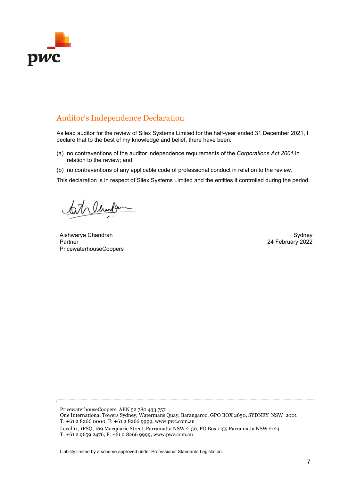

# Auditor's Independence Declaration

As lead auditor for the review of Silex Systems Limited for the half-year ended 31 December 2021, I declare that to the best of my knowledge and belief, there have been:

- (a) no contraventions of the auditor independence requirements of the *Corporations Act 2001* in relation to the review; and
- (b) no contraventions of any applicable code of professional conduct in relation to the review.

This declaration is in respect of Silex Systems Limited and the entities it controlled during the period.

Welconder

Aishwarya Chandran Nashington and the control of the control of the control of the control of the control of the control of the control of the control of the control of the control of the control of the control of the cont Partner PricewaterhouseCoopers

24 February 2022

PricewaterhouseCoopers, ABN 52 780 433 757 One International Towers Sydney, Watermans Quay, Barangaroo, GPO BOX 2650, SYDNEY NSW 2001 T: +61 2 8266 0000, F: +61 2 8266 9999, www.pwc.com.au Level 11, 1PSQ, 169 Macquarie Street, Parramatta NSW 2150, PO Box 1155 Parramatta NSW 2124 T:  $+61\ 2\ 9659\ 2476$ , F:  $+61\ 2\ 8266\ 9999$ , www.pwc.com.au

Liability limited by a scheme approved under Professional Standards Legislation.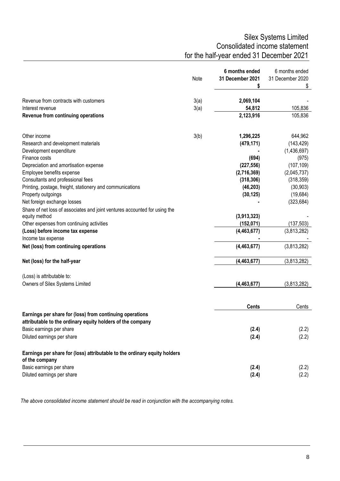# Silex Systems Limited Consolidated income statement for the half-year ended 31 December 2021

|                                                                                             |      | 6 months ended   | 6 months ended   |
|---------------------------------------------------------------------------------------------|------|------------------|------------------|
|                                                                                             | Note | 31 December 2021 | 31 December 2020 |
|                                                                                             |      | \$               | \$               |
| Revenue from contracts with customers                                                       | 3(a) | 2,069,104        |                  |
| Interest revenue                                                                            | 3(a) | 54,812           | 105,836          |
| Revenue from continuing operations                                                          |      | 2,123,916        | 105,836          |
| Other income                                                                                | 3(b) | 1,296,225        | 644,962          |
| Research and development materials                                                          |      | (479, 171)       | (143, 429)       |
| Development expenditure                                                                     |      |                  | (1,436,697)      |
| Finance costs                                                                               |      | (694)            | (975)            |
| Depreciation and amortisation expense                                                       |      | (227, 556)       | (107, 109)       |
| Employee benefits expense                                                                   |      | (2,716,369)      | (2,045,737)      |
| Consultants and professional fees                                                           |      | (318, 306)       | (318, 359)       |
| Printing, postage, freight, stationery and communications                                   |      | (46, 203)        | (30, 903)        |
| Property outgoings                                                                          |      | (30, 125)        | (19,684)         |
| Net foreign exchange losses                                                                 |      |                  | (323, 684)       |
| Share of net loss of associates and joint ventures accounted for using the                  |      |                  |                  |
| equity method                                                                               |      | (3,913,323)      |                  |
| Other expenses from continuing activities                                                   |      | (152, 071)       | (137, 503)       |
| (Loss) before income tax expense                                                            |      | (4, 463, 677)    | (3,813,282)      |
| Income tax expense                                                                          |      |                  |                  |
| Net (loss) from continuing operations                                                       |      | (4,463,677)      | (3,813,282)      |
| Net (loss) for the half-year                                                                |      | (4, 463, 677)    | (3,813,282)      |
| (Loss) is attributable to:                                                                  |      |                  |                  |
| Owners of Silex Systems Limited                                                             |      | (4, 463, 677)    | (3,813,282)      |
|                                                                                             |      |                  |                  |
|                                                                                             |      | <b>Cents</b>     | Cents            |
| Earnings per share for (loss) from continuing operations                                    |      |                  |                  |
| attributable to the ordinary equity holders of the company                                  |      |                  |                  |
| Basic earnings per share                                                                    |      | (2.4)            | (2.2)            |
| Diluted earnings per share                                                                  |      | (2.4)            | (2.2)            |
| Earnings per share for (loss) attributable to the ordinary equity holders<br>of the company |      |                  |                  |
| Basic earnings per share                                                                    |      | (2.4)            | (2.2)            |
| Diluted earnings per share                                                                  |      | (2.4)            | (2.2)            |

*The above consolidated income statement should be read in conjunction with the accompanying notes.*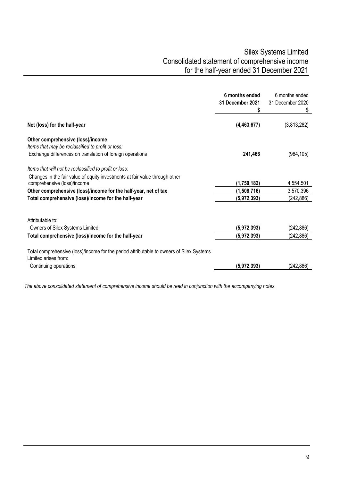# Silex Systems Limited Consolidated statement of comprehensive income for the half-year ended 31 December 2021

| 6 months ended<br>31 December 2021 | 6 months ended<br>31 December 2020<br>\$  |
|------------------------------------|-------------------------------------------|
| (4, 463, 677)                      | (3,813,282)                               |
|                                    |                                           |
|                                    |                                           |
| 241,466                            | (984, 105)                                |
|                                    |                                           |
|                                    |                                           |
| (1,750,182)                        | 4,554,501                                 |
|                                    | 3,570,396                                 |
| (5,972,393)                        | (242, 886)                                |
|                                    |                                           |
|                                    | (242, 886)                                |
|                                    | (242, 886)                                |
|                                    |                                           |
|                                    |                                           |
| (5,972,393)                        | (242,886)                                 |
|                                    | (1,508,716)<br>(5,972,393)<br>(5,972,393) |

*The above consolidated statement of comprehensive income should be read in conjunction with the accompanying notes.*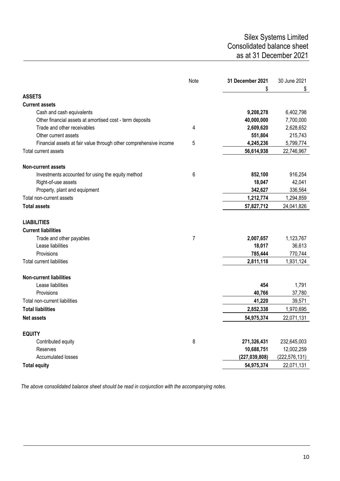## Silex Systems Limited Consolidated balance sheet as at 31 December 2021

| \$<br>\$<br><b>ASSETS</b><br><b>Current assets</b><br>9,208,278<br>6,402,798<br>Cash and cash equivalents<br>Other financial assets at amortised cost - term deposits<br>7,700,000<br>40,000,000<br>Trade and other receivables<br>2,609,620<br>2,628,652<br>4<br>215,743<br>Other current assets<br>551,804<br>5<br>4,245,236<br>5,799,774<br>Financial assets at fair value through other comprehensive income<br>Total current assets<br>56,614,938<br>22,746,967<br><b>Non-current assets</b><br>6<br>916,254<br>Investments accounted for using the equity method<br>852,100<br>42,041<br>18,047<br>Right-of-use assets<br>336,564<br>Property, plant and equipment<br>342,627<br>Total non-current assets<br>1,212,774<br>1,294,859<br><b>Total assets</b><br>57,827,712<br>24,041,826<br><b>LIABILITIES</b><br><b>Current liabilities</b><br>7<br>2,007,657<br>1,123,767<br>Trade and other payables<br>36,613<br>Lease liabilities<br>18,017<br>Provisions<br>785,444<br>770,744<br><b>Total current liabilities</b><br>2,811,118<br>1,931,124<br><b>Non-current liabilities</b><br>Lease liabilities<br>454<br>1,791<br>Provisions<br>40,766<br>37,780<br>Total non-current liabilities<br>41,220<br>39,571<br><b>Total liabilities</b><br>1,970,695<br>2,852,338<br>54,975,374<br>22,071,131<br><b>Net assets</b><br><b>EQUITY</b><br>8<br>Contributed equity<br>271,326,431<br>232,645,003<br>10,688,751<br>12,002,259<br>Reserves<br><b>Accumulated losses</b><br>(227, 039, 808)<br>(222, 576, 131) |                     | Note | 31 December 2021 | 30 June 2021 |
|------------------------------------------------------------------------------------------------------------------------------------------------------------------------------------------------------------------------------------------------------------------------------------------------------------------------------------------------------------------------------------------------------------------------------------------------------------------------------------------------------------------------------------------------------------------------------------------------------------------------------------------------------------------------------------------------------------------------------------------------------------------------------------------------------------------------------------------------------------------------------------------------------------------------------------------------------------------------------------------------------------------------------------------------------------------------------------------------------------------------------------------------------------------------------------------------------------------------------------------------------------------------------------------------------------------------------------------------------------------------------------------------------------------------------------------------------------------------------------------------------------------|---------------------|------|------------------|--------------|
|                                                                                                                                                                                                                                                                                                                                                                                                                                                                                                                                                                                                                                                                                                                                                                                                                                                                                                                                                                                                                                                                                                                                                                                                                                                                                                                                                                                                                                                                                                                  |                     |      |                  |              |
|                                                                                                                                                                                                                                                                                                                                                                                                                                                                                                                                                                                                                                                                                                                                                                                                                                                                                                                                                                                                                                                                                                                                                                                                                                                                                                                                                                                                                                                                                                                  |                     |      |                  |              |
|                                                                                                                                                                                                                                                                                                                                                                                                                                                                                                                                                                                                                                                                                                                                                                                                                                                                                                                                                                                                                                                                                                                                                                                                                                                                                                                                                                                                                                                                                                                  |                     |      |                  |              |
|                                                                                                                                                                                                                                                                                                                                                                                                                                                                                                                                                                                                                                                                                                                                                                                                                                                                                                                                                                                                                                                                                                                                                                                                                                                                                                                                                                                                                                                                                                                  |                     |      |                  |              |
|                                                                                                                                                                                                                                                                                                                                                                                                                                                                                                                                                                                                                                                                                                                                                                                                                                                                                                                                                                                                                                                                                                                                                                                                                                                                                                                                                                                                                                                                                                                  |                     |      |                  |              |
|                                                                                                                                                                                                                                                                                                                                                                                                                                                                                                                                                                                                                                                                                                                                                                                                                                                                                                                                                                                                                                                                                                                                                                                                                                                                                                                                                                                                                                                                                                                  |                     |      |                  |              |
|                                                                                                                                                                                                                                                                                                                                                                                                                                                                                                                                                                                                                                                                                                                                                                                                                                                                                                                                                                                                                                                                                                                                                                                                                                                                                                                                                                                                                                                                                                                  |                     |      |                  |              |
|                                                                                                                                                                                                                                                                                                                                                                                                                                                                                                                                                                                                                                                                                                                                                                                                                                                                                                                                                                                                                                                                                                                                                                                                                                                                                                                                                                                                                                                                                                                  |                     |      |                  |              |
|                                                                                                                                                                                                                                                                                                                                                                                                                                                                                                                                                                                                                                                                                                                                                                                                                                                                                                                                                                                                                                                                                                                                                                                                                                                                                                                                                                                                                                                                                                                  |                     |      |                  |              |
|                                                                                                                                                                                                                                                                                                                                                                                                                                                                                                                                                                                                                                                                                                                                                                                                                                                                                                                                                                                                                                                                                                                                                                                                                                                                                                                                                                                                                                                                                                                  |                     |      |                  |              |
|                                                                                                                                                                                                                                                                                                                                                                                                                                                                                                                                                                                                                                                                                                                                                                                                                                                                                                                                                                                                                                                                                                                                                                                                                                                                                                                                                                                                                                                                                                                  |                     |      |                  |              |
|                                                                                                                                                                                                                                                                                                                                                                                                                                                                                                                                                                                                                                                                                                                                                                                                                                                                                                                                                                                                                                                                                                                                                                                                                                                                                                                                                                                                                                                                                                                  |                     |      |                  |              |
|                                                                                                                                                                                                                                                                                                                                                                                                                                                                                                                                                                                                                                                                                                                                                                                                                                                                                                                                                                                                                                                                                                                                                                                                                                                                                                                                                                                                                                                                                                                  |                     |      |                  |              |
|                                                                                                                                                                                                                                                                                                                                                                                                                                                                                                                                                                                                                                                                                                                                                                                                                                                                                                                                                                                                                                                                                                                                                                                                                                                                                                                                                                                                                                                                                                                  |                     |      |                  |              |
|                                                                                                                                                                                                                                                                                                                                                                                                                                                                                                                                                                                                                                                                                                                                                                                                                                                                                                                                                                                                                                                                                                                                                                                                                                                                                                                                                                                                                                                                                                                  |                     |      |                  |              |
|                                                                                                                                                                                                                                                                                                                                                                                                                                                                                                                                                                                                                                                                                                                                                                                                                                                                                                                                                                                                                                                                                                                                                                                                                                                                                                                                                                                                                                                                                                                  |                     |      |                  |              |
|                                                                                                                                                                                                                                                                                                                                                                                                                                                                                                                                                                                                                                                                                                                                                                                                                                                                                                                                                                                                                                                                                                                                                                                                                                                                                                                                                                                                                                                                                                                  |                     |      |                  |              |
|                                                                                                                                                                                                                                                                                                                                                                                                                                                                                                                                                                                                                                                                                                                                                                                                                                                                                                                                                                                                                                                                                                                                                                                                                                                                                                                                                                                                                                                                                                                  |                     |      |                  |              |
|                                                                                                                                                                                                                                                                                                                                                                                                                                                                                                                                                                                                                                                                                                                                                                                                                                                                                                                                                                                                                                                                                                                                                                                                                                                                                                                                                                                                                                                                                                                  |                     |      |                  |              |
|                                                                                                                                                                                                                                                                                                                                                                                                                                                                                                                                                                                                                                                                                                                                                                                                                                                                                                                                                                                                                                                                                                                                                                                                                                                                                                                                                                                                                                                                                                                  |                     |      |                  |              |
|                                                                                                                                                                                                                                                                                                                                                                                                                                                                                                                                                                                                                                                                                                                                                                                                                                                                                                                                                                                                                                                                                                                                                                                                                                                                                                                                                                                                                                                                                                                  |                     |      |                  |              |
|                                                                                                                                                                                                                                                                                                                                                                                                                                                                                                                                                                                                                                                                                                                                                                                                                                                                                                                                                                                                                                                                                                                                                                                                                                                                                                                                                                                                                                                                                                                  |                     |      |                  |              |
|                                                                                                                                                                                                                                                                                                                                                                                                                                                                                                                                                                                                                                                                                                                                                                                                                                                                                                                                                                                                                                                                                                                                                                                                                                                                                                                                                                                                                                                                                                                  |                     |      |                  |              |
|                                                                                                                                                                                                                                                                                                                                                                                                                                                                                                                                                                                                                                                                                                                                                                                                                                                                                                                                                                                                                                                                                                                                                                                                                                                                                                                                                                                                                                                                                                                  |                     |      |                  |              |
|                                                                                                                                                                                                                                                                                                                                                                                                                                                                                                                                                                                                                                                                                                                                                                                                                                                                                                                                                                                                                                                                                                                                                                                                                                                                                                                                                                                                                                                                                                                  |                     |      |                  |              |
|                                                                                                                                                                                                                                                                                                                                                                                                                                                                                                                                                                                                                                                                                                                                                                                                                                                                                                                                                                                                                                                                                                                                                                                                                                                                                                                                                                                                                                                                                                                  |                     |      |                  |              |
|                                                                                                                                                                                                                                                                                                                                                                                                                                                                                                                                                                                                                                                                                                                                                                                                                                                                                                                                                                                                                                                                                                                                                                                                                                                                                                                                                                                                                                                                                                                  |                     |      |                  |              |
|                                                                                                                                                                                                                                                                                                                                                                                                                                                                                                                                                                                                                                                                                                                                                                                                                                                                                                                                                                                                                                                                                                                                                                                                                                                                                                                                                                                                                                                                                                                  |                     |      |                  |              |
|                                                                                                                                                                                                                                                                                                                                                                                                                                                                                                                                                                                                                                                                                                                                                                                                                                                                                                                                                                                                                                                                                                                                                                                                                                                                                                                                                                                                                                                                                                                  |                     |      |                  |              |
|                                                                                                                                                                                                                                                                                                                                                                                                                                                                                                                                                                                                                                                                                                                                                                                                                                                                                                                                                                                                                                                                                                                                                                                                                                                                                                                                                                                                                                                                                                                  |                     |      |                  |              |
|                                                                                                                                                                                                                                                                                                                                                                                                                                                                                                                                                                                                                                                                                                                                                                                                                                                                                                                                                                                                                                                                                                                                                                                                                                                                                                                                                                                                                                                                                                                  |                     |      |                  |              |
|                                                                                                                                                                                                                                                                                                                                                                                                                                                                                                                                                                                                                                                                                                                                                                                                                                                                                                                                                                                                                                                                                                                                                                                                                                                                                                                                                                                                                                                                                                                  |                     |      |                  |              |
|                                                                                                                                                                                                                                                                                                                                                                                                                                                                                                                                                                                                                                                                                                                                                                                                                                                                                                                                                                                                                                                                                                                                                                                                                                                                                                                                                                                                                                                                                                                  | <b>Total equity</b> |      | 54,975,374       | 22,071,131   |

*The above consolidated balance sheet should be read in conjunction with the accompanying notes.*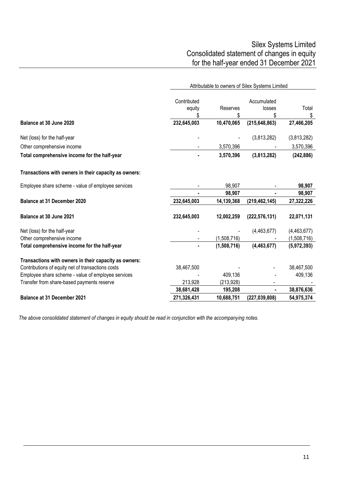# Silex Systems Limited Consolidated statement of changes in equity for the half-year ended 31 December 2021

|                                                       |                             | Attributable to owners of Silex Systems Limited |                             |             |  |
|-------------------------------------------------------|-----------------------------|-------------------------------------------------|-----------------------------|-------------|--|
|                                                       | Contributed<br>equity<br>\$ | Reserves<br>\$                                  | Accumulated<br>losses<br>\$ | Total<br>\$ |  |
| Balance at 30 June 2020                               | 232,645,003                 | 10,470,065                                      | (215, 648, 863)             | 27,466,205  |  |
| Net (loss) for the half-year                          |                             |                                                 | (3,813,282)                 | (3,813,282) |  |
| Other comprehensive income                            |                             | 3,570,396                                       |                             | 3,570,396   |  |
| Total comprehensive income for the half-year          |                             | 3,570,396                                       | (3,813,282)                 | (242, 886)  |  |
| Transactions with owners in their capacity as owners: |                             |                                                 |                             |             |  |
| Employee share scheme - value of employee services    |                             | 98,907                                          |                             | 98,907      |  |
|                                                       |                             | 98,907                                          |                             | 98,907      |  |
| <b>Balance at 31 December 2020</b>                    | 232,645,003                 | 14,139,368                                      | (219, 462, 145)             | 27,322,226  |  |
| Balance at 30 June 2021                               | 232,645,003                 | 12,002,259                                      | (222, 576, 131)             | 22,071,131  |  |
| Net (loss) for the half-year                          |                             |                                                 | (4,463,677)                 | (4,463,677) |  |
| Other comprehensive income                            |                             | (1,508,716)                                     |                             | (1,508,716) |  |
| Total comprehensive income for the half-year          |                             | (1,508,716)                                     | (4, 463, 677)               | (5,972,393) |  |
| Transactions with owners in their capacity as owners: |                             |                                                 |                             |             |  |
| Contributions of equity net of transactions costs     | 38,467,500                  |                                                 |                             | 38,467,500  |  |
| Employee share scheme - value of employee services    |                             | 409,136                                         |                             | 409,136     |  |
| Transfer from share-based payments reserve            | 213,928                     | (213, 928)                                      |                             |             |  |
|                                                       | 38,681,428                  | 195,208                                         |                             | 38,876,636  |  |
| <b>Balance at 31 December 2021</b>                    | 271,326,431                 | 10,688,751                                      | (227, 039, 808)             | 54,975,374  |  |

*The above consolidated statement of changes in equity should be read in conjunction with the accompanying notes.*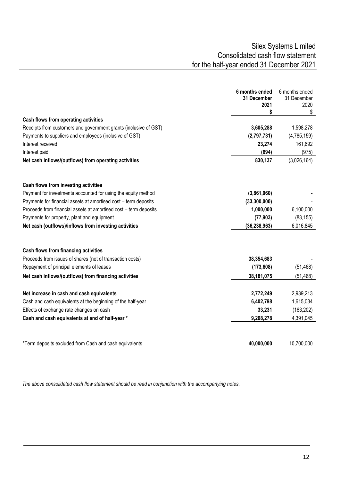|                                                                  | 6 months ended<br>31 December<br>2021<br>\$ | 6 months ended<br>31 December<br>2020<br>\$ |
|------------------------------------------------------------------|---------------------------------------------|---------------------------------------------|
| Cash flows from operating activities                             |                                             |                                             |
| Receipts from customers and government grants (inclusive of GST) | 3,605,288                                   | 1,598,278                                   |
| Payments to suppliers and employees (inclusive of GST)           | (2,797,731)                                 | (4,785,159)                                 |
| Interest received                                                | 23,274                                      | 161,692                                     |
| Interest paid                                                    | (694)                                       | (975)                                       |
| Net cash inflows/(outflows) from operating activities            | 830,137                                     | (3,026,164)                                 |
| Cash flows from investing activities                             |                                             |                                             |
| Payment for investments accounted for using the equity method    | (3,861,060)                                 |                                             |
| Payments for financial assets at amortised cost - term deposits  | (33,300,000)                                |                                             |
| Proceeds from financial assets at amortised cost - term deposits | 1,000,000                                   | 6,100,000                                   |
| Payments for property, plant and equipment                       | (77, 903)                                   | (83, 155)                                   |
| Net cash (outflows)/inflows from investing activities            | (36, 238, 963)                              | 6,016,845                                   |
| Cash flows from financing activities                             |                                             |                                             |
| Proceeds from issues of shares (net of transaction costs)        | 38,354,683                                  |                                             |
| Repayment of principal elements of leases                        | (173, 608)                                  | (51, 468)                                   |
| Net cash inflows/(outflows) from financing activities            | 38,181,075                                  | (51, 468)                                   |
| Net increase in cash and cash equivalents                        | 2,772,249                                   | 2,939,213                                   |
| Cash and cash equivalents at the beginning of the half-year      | 6,402,798                                   | 1,615,034                                   |
| Effects of exchange rate changes on cash                         | 33,231                                      | (163, 202)                                  |
| Cash and cash equivalents at end of half-year *                  | 9,208,278                                   | 4,391,045                                   |
| *Term deposits excluded from Cash and cash equivalents           | 40,000,000                                  | 10,700,000                                  |

 *The above consolidated cash flow statement should be read in conjunction with the accompanying notes.*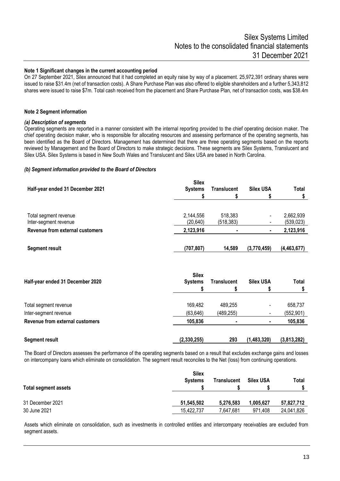#### **Note 1 Significant changes in the current accounting period**

On 27 September 2021, Silex announced that it had completed an equity raise by way of a placement. 25,972,391 ordinary shares were issued to raise \$31.4m (net of transaction costs). A Share Purchase Plan was also offered to eligible shareholders and a further 5,343,812 shares were issued to raise \$7m. Total cash received from the placement and Share Purchase Plan, net of transaction costs, was \$38.4m

#### **Note 2 Segment information**

#### *(a) Description of segments*

Operating segments are reported in a manner consistent with the internal reporting provided to the chief operating decision maker. The chief operating decision maker, who is responsible for allocating resources and assessing performance of the operating segments, has been identified as the Board of Directors. Management has determined that there are three operating segments based on the reports reviewed by Management and the Board of Directors to make strategic decisions. These segments are Silex Systems, Translucent and Silex USA. Silex Systems is based in New South Wales and Translucent and Silex USA are based in North Carolina.

#### *(b) Segment information provided to the Board of Directors*

| Half-year ended 31 December 2021               | <b>Silex</b><br><b>Systems</b> | <b>Translucent</b>    | <b>Silex USA</b> | Total                   |
|------------------------------------------------|--------------------------------|-----------------------|------------------|-------------------------|
|                                                |                                |                       |                  |                         |
| Total segment revenue<br>Inter-segment revenue | 2,144,556<br>(20, 640)         | 518,383<br>(518, 383) |                  | 2,662,939<br>(539, 023) |
| Revenue from external customers                | 2,123,916                      |                       |                  | 2,123,916               |
| <b>Segment result</b>                          | (707, 807)                     | 14,589                | (3,770,459)      | (4,463,677)             |

| Half-year ended 31 December 2020 | <b>Silex</b><br><b>Systems</b> | Translucent | <b>Silex USA</b>         | <b>Total</b> |
|----------------------------------|--------------------------------|-------------|--------------------------|--------------|
| Total segment revenue            | 169,482                        | 489.255     |                          | 658,737      |
| Inter-segment revenue            | (63, 646)                      | (489, 255)  | $\overline{\phantom{0}}$ | (552, 901)   |
| Revenue from external customers  | 105,836                        |             |                          | 105,836      |
| <b>Segment result</b>            | (2,330,255)                    | 293         | (1,483,320)              | (3,813,282)  |

The Board of Directors assesses the performance of the operating segments based on a result that excludes exchange gains and losses on intercompany loans which eliminate on consolidation. The segment result reconciles to the Net (loss) from continuing operations.

| Total segment assets | <b>Silex</b><br>Systems | Translucent | <b>Silex USA</b> | Total      |
|----------------------|-------------------------|-------------|------------------|------------|
| 31 December 2021     | 51.545.502              | 5.276.583   | 1.005.627        | 57.827.712 |
| 30 June 2021         | 15,422,737              | 7,647,681   | 971.408          | 24,041,826 |

Assets which eliminate on consolidation, such as investments in controlled entities and intercompany receivables are excluded from segment assets.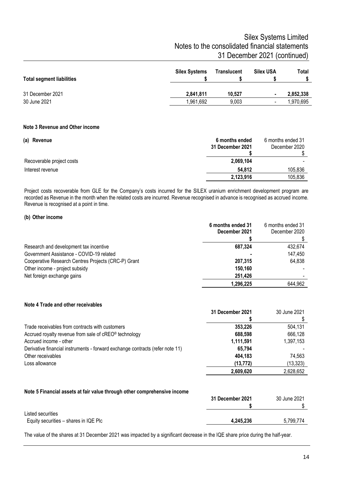# Silex Systems Limited Notes to the consolidated financial statements 31 December 2021 (continued)

| <b>Total segment liabilities</b> | <b>Silex Systems</b> | Translucent | <b>Silex USA</b>         | Total     |
|----------------------------------|----------------------|-------------|--------------------------|-----------|
| 31 December 2021                 | 2,841,811            | 10.527      | ٠                        | 2,852,338 |
| 30 June 2021                     | .961,692             | 9,003       | $\overline{\phantom{a}}$ | .970.695  |

#### **Note 3 Revenue and Other income**

| (a) Revenue               | 6 months ended<br>31 December 2021 | 6 months ended 31<br>December 2020 |
|---------------------------|------------------------------------|------------------------------------|
|                           |                                    |                                    |
| Recoverable project costs | 2,069,104                          |                                    |
| Interest revenue          | 54.812                             | 105,836                            |
|                           | 2,123,916                          | 105,836                            |

Project costs recoverable from GLE for the Company's costs incurred for the SILEX uranium enrichment development program are recorded as Revenue in the month when the related costs are incurred. Revenue recognised in advance is recognised as accrued income. Revenue is recognised at a point in time.

#### **(b) Other income**

|                                                     | 6 months ended 31<br>December 2021 | 6 months ended 31<br>December 2020 |
|-----------------------------------------------------|------------------------------------|------------------------------------|
|                                                     |                                    |                                    |
| Research and development tax incentive              | 687,324                            | 432,674                            |
| Government Assistance - COVID-19 related            |                                    | 147,450                            |
| Cooperative Research Centres Projects (CRC-P) Grant | 207.315                            | 64,838                             |
| Other income - project subsidy                      | 150.160                            |                                    |
| Net foreign exchange gains                          | 251.426                            |                                    |
|                                                     | 1,296,225                          | 644.962                            |

#### **Note 4 Trade and other receivables**

|                                                                               | 31 December 2021 | 30 June 2021 |
|-------------------------------------------------------------------------------|------------------|--------------|
| Trade receivables from contracts with customers                               | 353.226          | 504,131      |
| Accrued royalty revenue from sale of cREO® technology                         | 688,598          | 666,128      |
| Accrued income - other                                                        | 1,111,591        | 1,397,153    |
| Derivative financial instruments - forward exchange contracts (refer note 11) | 65,794           |              |
| Other receivables                                                             | 404,183          | 74.563       |
| Loss allowance                                                                | (13, 772)        | (13, 323)    |
|                                                                               | 2,609,620        | 2,628,652    |

#### **Note 5 Financial assets at fair value through other comprehensive income**

|                                       | 31 December 2021 | 30 June 2021 |
|---------------------------------------|------------------|--------------|
|                                       |                  |              |
| Listed securities                     |                  |              |
| Equity securities - shares in IQE PIc | 4.245.236        | 5.799.774    |
|                                       |                  |              |

The value of the shares at 31 December 2021 was impacted by a significant decrease in the IQE share price during the half-year.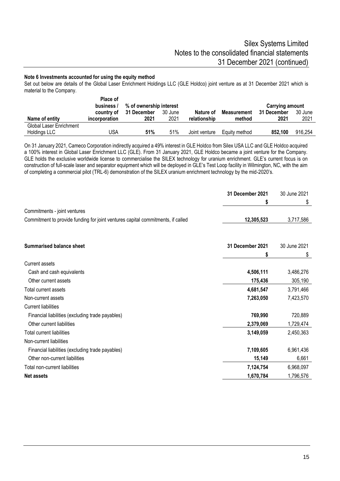#### **Note 6 Investments accounted for using the equity method**

Set out below are details of the Global Laser Enrichment Holdings LLC (GLE Holdco) joint venture as at 31 December 2021 which is material to the Company.

|                                         | Place of<br>business / | % of ownership interest        |                 |                           |                              | <b>Carrying amount</b> |                 |
|-----------------------------------------|------------------------|--------------------------------|-----------------|---------------------------|------------------------------|------------------------|-----------------|
| Name of entity                          | <i>incorporation</i>   | country of 31 December<br>2021 | 30 June<br>2021 | Nature of<br>relationship | <b>Measurement</b><br>method | 31 December<br>2021    | 30 June<br>2021 |
| Global Laser Enrichment<br>Holdings LLC | JSA                    | 51%                            | 51%             | Joint venture             | Equity method                | 852.100                | 916,254         |

On 31 January 2021, Cameco Corporation indirectly acquired a 49% interest in GLE Holdco from Silex USA LLC and GLE Holdco acquired a 100% interest in Global Laser Enrichment LLC (GLE). From 31 January 2021, GLE Holdco became a joint venture for the Company. GLE holds the exclusive worldwide license to commercialise the SILEX technology for uranium enrichment. GLE's current focus is on construction of full-scale laser and separator equipment which will be deployed in GLE's Test Loop facility in Wilmington, NC, with the aim of completing a commercial pilot (TRL-6) demonstration of the SILEX uranium enrichment technology by the mid-2020's.

| S<br>\$<br>Commitments - joint ventures<br>Commitment to provide funding for joint ventures capital commitments, if called<br>12,305,523<br>3,717,586<br>31 December 2021<br>30 June 2021<br><b>Summarised balance sheet</b><br>\$<br>S<br><b>Current assets</b><br>4,506,111<br>3,486,276<br>Cash and cash equivalents<br>Other current assets<br>175,436<br>305,190<br>3,791,466<br>Total current assets<br>4,681,547<br>Non-current assets<br>7,263,050<br>7,423,570<br><b>Current liabilities</b><br>720,889<br>769,990<br>Financial liabilities (excluding trade payables)<br>Other current liabilities<br>1,729,474<br>2,379,069<br><b>Total current liabilities</b><br>3,149,059<br>2,450,363<br>Non-current liabilities<br>7,109,605<br>6,961,436<br>Financial liabilities (excluding trade payables)<br>Other non-current liabilities<br>6,661<br>15,149<br>7,124,754<br>6,968,097<br>Total non-current liabilities<br>1,670,784<br>1,796,576<br><b>Net assets</b> | 31 December 2021 | 30 June 2021 |
|-----------------------------------------------------------------------------------------------------------------------------------------------------------------------------------------------------------------------------------------------------------------------------------------------------------------------------------------------------------------------------------------------------------------------------------------------------------------------------------------------------------------------------------------------------------------------------------------------------------------------------------------------------------------------------------------------------------------------------------------------------------------------------------------------------------------------------------------------------------------------------------------------------------------------------------------------------------------------------|------------------|--------------|
|                                                                                                                                                                                                                                                                                                                                                                                                                                                                                                                                                                                                                                                                                                                                                                                                                                                                                                                                                                             |                  |              |
|                                                                                                                                                                                                                                                                                                                                                                                                                                                                                                                                                                                                                                                                                                                                                                                                                                                                                                                                                                             |                  |              |
|                                                                                                                                                                                                                                                                                                                                                                                                                                                                                                                                                                                                                                                                                                                                                                                                                                                                                                                                                                             |                  |              |
|                                                                                                                                                                                                                                                                                                                                                                                                                                                                                                                                                                                                                                                                                                                                                                                                                                                                                                                                                                             |                  |              |
|                                                                                                                                                                                                                                                                                                                                                                                                                                                                                                                                                                                                                                                                                                                                                                                                                                                                                                                                                                             |                  |              |
|                                                                                                                                                                                                                                                                                                                                                                                                                                                                                                                                                                                                                                                                                                                                                                                                                                                                                                                                                                             |                  |              |
|                                                                                                                                                                                                                                                                                                                                                                                                                                                                                                                                                                                                                                                                                                                                                                                                                                                                                                                                                                             |                  |              |
|                                                                                                                                                                                                                                                                                                                                                                                                                                                                                                                                                                                                                                                                                                                                                                                                                                                                                                                                                                             |                  |              |
|                                                                                                                                                                                                                                                                                                                                                                                                                                                                                                                                                                                                                                                                                                                                                                                                                                                                                                                                                                             |                  |              |
|                                                                                                                                                                                                                                                                                                                                                                                                                                                                                                                                                                                                                                                                                                                                                                                                                                                                                                                                                                             |                  |              |
|                                                                                                                                                                                                                                                                                                                                                                                                                                                                                                                                                                                                                                                                                                                                                                                                                                                                                                                                                                             |                  |              |
|                                                                                                                                                                                                                                                                                                                                                                                                                                                                                                                                                                                                                                                                                                                                                                                                                                                                                                                                                                             |                  |              |
|                                                                                                                                                                                                                                                                                                                                                                                                                                                                                                                                                                                                                                                                                                                                                                                                                                                                                                                                                                             |                  |              |
|                                                                                                                                                                                                                                                                                                                                                                                                                                                                                                                                                                                                                                                                                                                                                                                                                                                                                                                                                                             |                  |              |
|                                                                                                                                                                                                                                                                                                                                                                                                                                                                                                                                                                                                                                                                                                                                                                                                                                                                                                                                                                             |                  |              |
|                                                                                                                                                                                                                                                                                                                                                                                                                                                                                                                                                                                                                                                                                                                                                                                                                                                                                                                                                                             |                  |              |
|                                                                                                                                                                                                                                                                                                                                                                                                                                                                                                                                                                                                                                                                                                                                                                                                                                                                                                                                                                             |                  |              |
|                                                                                                                                                                                                                                                                                                                                                                                                                                                                                                                                                                                                                                                                                                                                                                                                                                                                                                                                                                             |                  |              |
|                                                                                                                                                                                                                                                                                                                                                                                                                                                                                                                                                                                                                                                                                                                                                                                                                                                                                                                                                                             |                  |              |
|                                                                                                                                                                                                                                                                                                                                                                                                                                                                                                                                                                                                                                                                                                                                                                                                                                                                                                                                                                             |                  |              |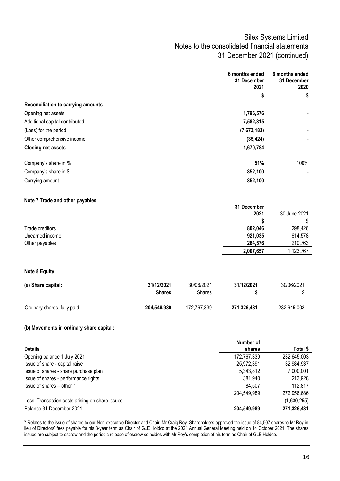|                                    |               |            | 6 months ended<br>31 December<br>2021 | 6 months ended<br>31 December<br>2020 |
|------------------------------------|---------------|------------|---------------------------------------|---------------------------------------|
|                                    |               |            | \$                                    | \$                                    |
| Reconciliation to carrying amounts |               |            |                                       |                                       |
| Opening net assets                 |               |            | 1,796,576                             |                                       |
| Additional capital contributed     |               |            | 7,582,815                             |                                       |
| (Loss) for the period              |               |            | (7,673,183)                           |                                       |
| Other comprehensive income         |               |            | (35, 424)                             |                                       |
| <b>Closing net assets</b>          |               |            | 1,670,784                             |                                       |
| Company's share in %               |               |            | 51%                                   | 100%                                  |
| Company's share in \$              |               |            | 852,100                               |                                       |
| Carrying amount                    |               |            | 852,100                               |                                       |
| Note 7 Trade and other payables    |               |            |                                       |                                       |
|                                    |               |            | 31 December                           |                                       |
|                                    |               |            | 2021                                  | 30 June 2021                          |
|                                    |               |            | \$                                    | \$                                    |
| Trade creditors<br>Unearned income |               |            | 802,046<br>921,035                    | 298,426<br>614,578                    |
| Other payables                     |               |            | 284,576                               | 210,763                               |
|                                    |               |            | 2,007,657                             | 1,123,767                             |
| <b>Note 8 Equity</b>               |               |            |                                       |                                       |
| (a) Share capital:                 | 31/12/2021    | 30/06/2021 | 31/12/2021                            | 30/06/2021                            |
|                                    | <b>Shares</b> | Shares     | \$                                    | \$                                    |

### **(b) Movements in ordinary share capital:**

|                                                 | Number of   |             |
|-------------------------------------------------|-------------|-------------|
| <b>Details</b>                                  | shares      | Total \$    |
| Opening balance 1 July 2021                     | 172,767,339 | 232,645,003 |
| Issue of share - capital raise                  | 25,972,391  | 32,984,937  |
| Issue of shares - share purchase plan           | 5,343,812   | 7,000,001   |
| Issue of shares - performance rights            | 381,940     | 213,928     |
| Issue of shares – other *                       | 84.507      | 112.817     |
|                                                 | 204,549,989 | 272,956,686 |
| Less: Transaction costs arising on share issues |             | (1,630,255) |
| Balance 31 December 2021                        | 204,549,989 | 271,326,431 |

Ordinary shares, fully paid **204,549,989** 172,767,339 **271,326,431** 232,645,003

\* Relates to the issue of shares to our Non-executive Director and Chair, Mr Craig Roy. Shareholders approved the issue of 84,507 shares to Mr Roy in lieu of Directors' fees payable for his 3-year term as Chair of GLE Holdco at the 2021 Annual General Meeting held on 14 October 2021. The shares issued are subject to escrow and the periodic release of escrow coincides with Mr Roy's completion of his term as Chair of GLE Holdco.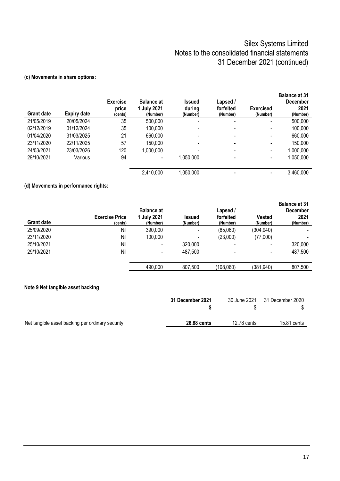### **(c) Movements in share options:**

| <b>Grant date</b> | <b>Expiry date</b> | <b>Exercise</b><br>price<br>(cents) | <b>Balance at</b><br>1 July 2021<br>(Number) | <b>Issued</b><br>during<br>(Number) | Lapsed /<br>forfeited<br>(Number) | <b>Exercised</b><br>(Number) | <b>Balance at 31</b><br><b>December</b><br>2021<br>(Number) |
|-------------------|--------------------|-------------------------------------|----------------------------------------------|-------------------------------------|-----------------------------------|------------------------------|-------------------------------------------------------------|
| 21/05/2019        | 20/05/2024         | 35                                  | 500,000                                      | $\blacksquare$                      | -                                 | $\overline{\phantom{a}}$     | 500,000                                                     |
| 02/12/2019        | 01/12/2024         | 35                                  | 100,000                                      | -                                   |                                   | $\overline{\phantom{a}}$     | 100,000                                                     |
| 01/04/2020        | 31/03/2025         | 21                                  | 660,000                                      | ۰                                   | -                                 | $\blacksquare$               | 660,000                                                     |
| 23/11/2020        | 22/11/2025         | 57                                  | 150,000                                      | -                                   |                                   | $\overline{\phantom{a}}$     | 150,000                                                     |
| 24/03/2021        | 23/03/2026         | 120                                 | 1,000,000                                    | -                                   | -                                 | $\blacksquare$               | 1,000,000                                                   |
| 29/10/2021        | Various            | 94                                  |                                              | 1,050,000                           |                                   | $\overline{\phantom{a}}$     | 1,050,000                                                   |
|                   |                    |                                     | 2,410,000                                    | 1,050,000                           | -                                 | $\overline{\phantom{a}}$     | 3,460,000                                                   |

### **(d) Movements in performance rights:**

| <b>Grant date</b> | <b>Exercise Price</b><br>(cents) | <b>Balance at</b><br>1 July 2021<br>(Number) | <b>Issued</b><br>(Number) | Lapsed /<br>forfeited<br>(Number) | Vested<br>(Number)       | <b>Balance at 31</b><br><b>December</b><br>2021<br>(Number) |
|-------------------|----------------------------------|----------------------------------------------|---------------------------|-----------------------------------|--------------------------|-------------------------------------------------------------|
| 25/09/2020        | Nil                              | 390,000                                      | -                         | (85,060)                          | (304, 940)               |                                                             |
| 23/11/2020        | Nil                              | 100,000                                      |                           | (23,000)                          | (77,000)                 |                                                             |
| 25/10/2021        | Nil                              |                                              | 320,000                   |                                   | $\overline{\phantom{a}}$ | 320,000                                                     |
| 29/10/2021        | Nil                              | $\overline{\phantom{a}}$                     | 487,500                   |                                   | $\,$                     | 487,500                                                     |
|                   |                                  | 490,000                                      | 807,500                   | (108,060)                         | (381, 940)               | 807,500                                                     |

### **Note 9 Net tangible asset backing**

|                                                  | 31 December 2021 | 30 June 2021 | 31 December 2020 |
|--------------------------------------------------|------------------|--------------|------------------|
| Net tangible asset backing per ordinary security | 26,88 cents      | 12.78 cents  | 15.81 cents      |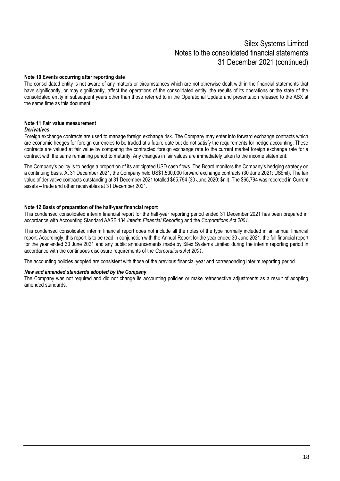#### **Note 10 Events occurring after reporting date**

The consolidated entity is not aware of any matters or circumstances which are not otherwise dealt with in the financial statements that have significantly, or may significantly, affect the operations of the consolidated entity, the results of its operations or the state of the consolidated entity in subsequent years other than those referred to in the Operational Update and presentation released to the ASX at the same time as this document.

#### **Note 11 Fair value measurement** *Derivatives*

Foreign exchange contracts are used to manage foreign exchange risk. The Company may enter into forward exchange contracts which are economic hedges for foreign currencies to be traded at a future date but do not satisfy the requirements for hedge accounting. These contracts are valued at fair value by comparing the contracted foreign exchange rate to the current market foreign exchange rate for a contract with the same remaining period to maturity. Any changes in fair values are immediately taken to the income statement.

The Company's policy is to hedge a proportion of its anticipated USD cash flows. The Board monitors the Company's hedging strategy on a continuing basis. At 31 December 2021, the Company held US\$1,500,000 forward exchange contracts (30 June 2021: US\$nil). The fair value of derivative contracts outstanding at 31 December 2021 totalled \$65,794 (30 June 2020: \$nil). The \$65,794 was recorded in Current assets – trade and other receivables at 31 December 2021.

#### **Note 12 Basis of preparation of the half-year financial report**

This condensed consolidated interim financial report for the half-year reporting period ended 31 December 2021 has been prepared in accordance with Accounting Standard AASB 134 *Interim Financial Reporting* and the *Corporations Act 2001.*

This condensed consolidated interim financial report does not include all the notes of the type normally included in an annual financial report. Accordingly, this report is to be read in conjunction with the Annual Report for the year ended 30 June 2021, the full financial report for the year ended 30 June 2021 and any public announcements made by Silex Systems Limited during the interim reporting period in accordance with the continuous disclosure requirements of the *Corporations Act 2001.*

The accounting policies adopted are consistent with those of the previous financial year and corresponding interim reporting period.

#### *New and amended standards adopted by the Company*

The Company was not required and did not change its accounting policies or make retrospective adjustments as a result of adopting amended standards.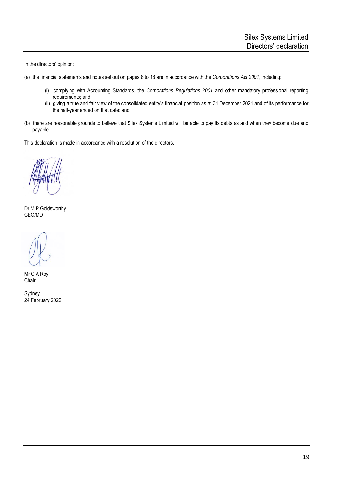In the directors' opinion:

- (a) the financial statements and notes set out on pages 8 to 18 are in accordance with the *Corporations Act 2001*, including:
	- (i) complying with Accounting Standards, the *Corporations Regulations 2001* and other mandatory professional reporting requirements; and
	- (ii) giving a true and fair view of the consolidated entity's financial position as at 31 December 2021 and of its performance for the half-year ended on that date: and
- (b) there are reasonable grounds to believe that Silex Systems Limited will be able to pay its debts as and when they become due and payable.

This declaration is made in accordance with a resolution of the directors.

Dr M P Goldsworthy CEO/MD

Mr C A Roy **Chair** 

Sydney 24 February 2022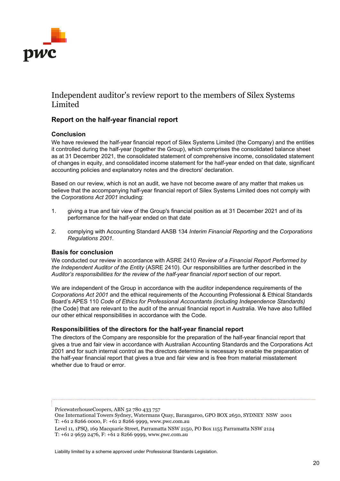

# Independent auditor's review report to the members of Silex Systems Limited

### **Report on the half-year financial report**

### **Conclusion**

We have reviewed the half-year financial report of Silex Systems Limited (the Company) and the entities it controlled during the half-year (together the Group), which comprises the consolidated balance sheet as at 31 December 2021, the consolidated statement of comprehensive income, consolidated statement of changes in equity, and consolidated income statement for the half-year ended on that date, significant accounting policies and explanatory notes and the directors' declaration.

Based on our review, which is not an audit, we have not become aware of any matter that makes us believe that the accompanying half-year financial report of Silex Systems Limited does not comply with the *Corporations Act 2001* including:

- 1. giving a true and fair view of the Group's financial position as at 31 December 2021 and of its performance for the half-year ended on that date
- 2. complying with Accounting Standard AASB 134 *Interim Financial Reporting* and the *Corporations Regulations 2001*.

#### **Basis for conclusion**

We conducted our review in accordance with ASRE 2410 *Review of a Financial Report Performed by the Independent Auditor of the Entity* (ASRE 2410). Our responsibilities are further described in the *Auditor's responsibilities for the review of the half-year financial report* section of our report.

We are independent of the Group in accordance with the auditor independence requirements of the *Corporations Act 2001* and the ethical requirements of the Accounting Professional & Ethical Standards Board's APES 110 *Code of Ethics for Professional Accountants (including Independence Standards)* (the Code) that are relevant to the audit of the annual financial report in Australia. We have also fulfilled our other ethical responsibilities in accordance with the Code.

#### **Responsibilities of the directors for the half-year financial report**

The directors of the Company are responsible for the preparation of the half-year financial report that gives a true and fair view in accordance with Australian Accounting Standards and the Corporations Act 2001 and for such internal control as the directors determine is necessary to enable the preparation of the half-year financial report that gives a true and fair view and is free from material misstatement whether due to fraud or error.

- One International Towers Sydney, Watermans Quay, Barangaroo, GPO BOX 2650, SYDNEY NSW 2001 T: +61 2 8266 0000, F: +61 2 8266 9999, www.pwc.com.au
- Level 11, 1PSQ, 169 Macquarie Street, Parramatta NSW 2150, PO Box 1155 Parramatta NSW 2124

PricewaterhouseCoopers, ABN 52 780 433 757

T: +61 2 9659 2476, F: +61 2 8266 9999, www.pwc.com.au

Liability limited by a scheme approved under Professional Standards Legislation.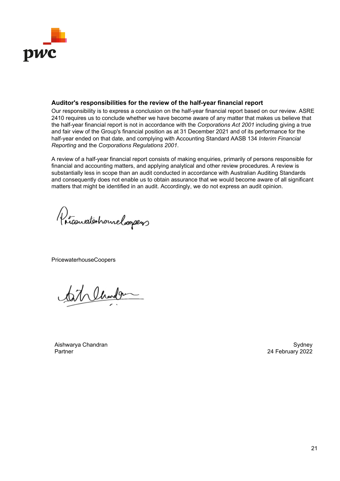

### **Auditor's responsibilities for the review of the half-year financial report**

Our responsibility is to express a conclusion on the half-year financial report based on our review. ASRE 2410 requires us to conclude whether we have become aware of any matter that makes us believe that the half-year financial report is not in accordance with the *Corporations Act 2001* including giving a true and fair view of the Group's financial position as at 31 December 2021 and of its performance for the half-year ended on that date, and complying with Accounting Standard AASB 134 *Interim Financial Reporting* and the *Corporations Regulations 2001*.

A review of a half-year financial report consists of making enquiries, primarily of persons responsible for financial and accounting matters, and applying analytical and other review procedures. A review is substantially less in scope than an audit conducted in accordance with Australian Auditing Standards and consequently does not enable us to obtain assurance that we would become aware of all significant matters that might be identified in an audit. Accordingly, we do not express an audit opinion.

Pricariaterhouselesspers

PricewaterhouseCoopers

at Chardge

Aishwarya Chandran Sydney Partner 24 February 2022